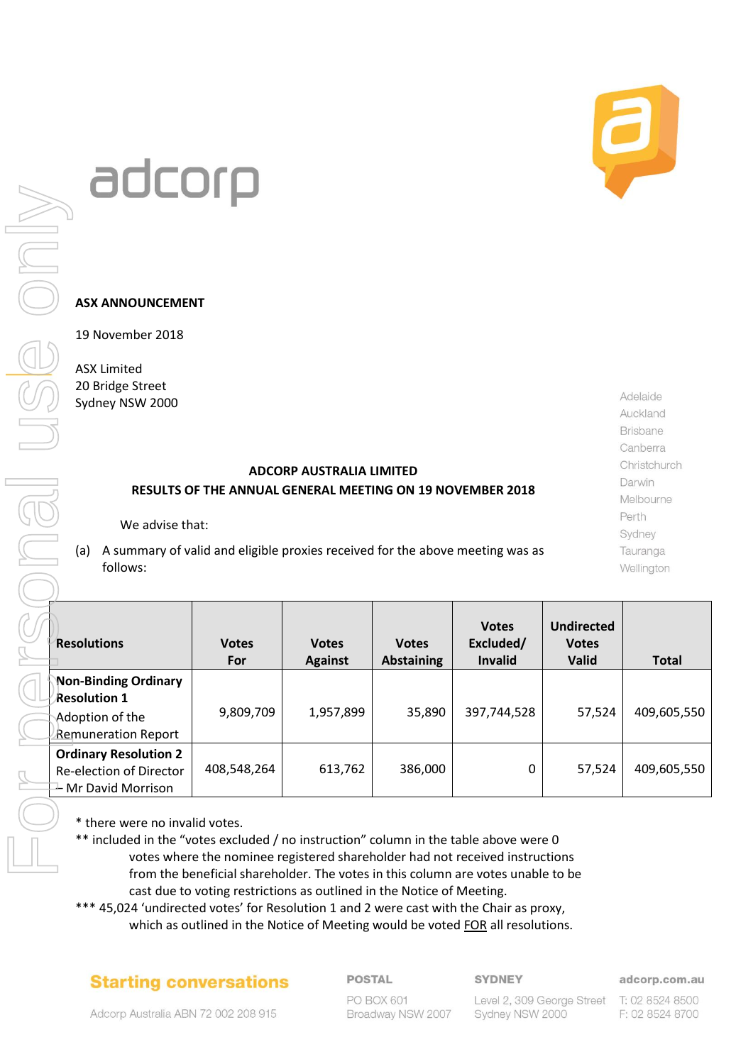# adcorp

## **ASX ANNOUNCEMENT**

# **ADCORP AUSTRALIA LIMITED RESULTS OF THE ANNUAL GENERAL MEETING ON 19 NOVEMBER 2018**

|                                                                                                                                                                                                         | JULUI                                                                          |                     |                                |                                   |                                      |                                            |                          |
|---------------------------------------------------------------------------------------------------------------------------------------------------------------------------------------------------------|--------------------------------------------------------------------------------|---------------------|--------------------------------|-----------------------------------|--------------------------------------|--------------------------------------------|--------------------------|
|                                                                                                                                                                                                         |                                                                                |                     |                                |                                   |                                      |                                            |                          |
|                                                                                                                                                                                                         | <b>ASX ANNOUNCEMENT</b>                                                        |                     |                                |                                   |                                      |                                            |                          |
|                                                                                                                                                                                                         | 19 November 2018                                                               |                     |                                |                                   |                                      |                                            |                          |
|                                                                                                                                                                                                         | <b>ASX Limited</b><br>20 Bridge Street                                         |                     |                                |                                   |                                      |                                            |                          |
|                                                                                                                                                                                                         | Sydney NSW 2000                                                                |                     |                                |                                   |                                      |                                            | Adelaide<br>Auckland     |
|                                                                                                                                                                                                         |                                                                                |                     |                                |                                   |                                      |                                            | Brisbane                 |
|                                                                                                                                                                                                         |                                                                                |                     |                                |                                   |                                      |                                            | Canberra<br>Christchurch |
| <b>ADCORP AUSTRALIA LIMITED</b><br>Darwin<br>RESULTS OF THE ANNUAL GENERAL MEETING ON 19 NOVEMBER 2018                                                                                                  |                                                                                |                     |                                |                                   |                                      |                                            |                          |
| Perth                                                                                                                                                                                                   |                                                                                |                     |                                |                                   |                                      |                                            | Melbourne                |
| We advise that:<br>Sydney                                                                                                                                                                               |                                                                                |                     |                                |                                   |                                      |                                            |                          |
| A summary of valid and eligible proxies received for the above meeting was as<br>(a)<br>Tauranga                                                                                                        |                                                                                |                     |                                |                                   |                                      |                                            |                          |
| follows:<br>Wellington                                                                                                                                                                                  |                                                                                |                     |                                |                                   |                                      |                                            |                          |
| <b>Resolutions</b>                                                                                                                                                                                      |                                                                                | <b>Votes</b><br>For | <b>Votes</b><br><b>Against</b> | <b>Votes</b><br><b>Abstaining</b> | <b>Votes</b><br>Excluded/<br>Invalid | <b>Undirected</b><br><b>Votes</b><br>Valid | <b>Total</b>             |
|                                                                                                                                                                                                         | <b>Non-Binding Ordinary</b><br><b>Resolution 1</b>                             |                     |                                |                                   |                                      |                                            |                          |
|                                                                                                                                                                                                         | Adoption of the<br><b>Remuneration Report</b>                                  | 9,809,709           | 1,957,899                      | 35,890                            | 397,744,528                          | 57,524                                     | 409,605,550              |
|                                                                                                                                                                                                         | <b>Ordinary Resolution 2</b><br>Re-election of Director<br>- Mr David Morrison | 408,548,264         | 613,762                        | 386,000                           | 0                                    | 57,524                                     | 409,605,550              |
| * there were no invalid votes.<br>** included in the "votes excluded / no instruction" column in the table above were 0<br>votes where the nominee registered shareholder had not received instructions |                                                                                |                     |                                |                                   |                                      |                                            |                          |

\*\* included in the "votes excluded / no instruction" column in the table above were 0 votes where the nominee registered shareholder had not received instructions from the beneficial shareholder. The votes in this column are votes unable to be cast due to voting restrictions as outlined in the Notice of Meeting.

\*\*\* 45,024 'undirected votes' for Resolution 1 and 2 were cast with the Chair as proxy, which as outlined in the Notice of Meeting would be voted FOR all resolutions.

# **Starting conversations**

## **POSTAL**

**SYDNEY** 

adcorp.com.au

T: 02 8524 8500 F: 02 8524 8700

Adcorp Australia ABN 72 002 208 915

PO BOX 601 Broadway NSW 2007

Level 2, 309 George Street Sydney NSW 2000